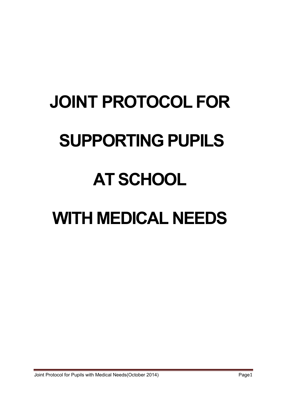# **JOINT PROTOCOL FOR SUPPORTING PUPILS AT SCHOOL WITH MEDICAL NEEDS**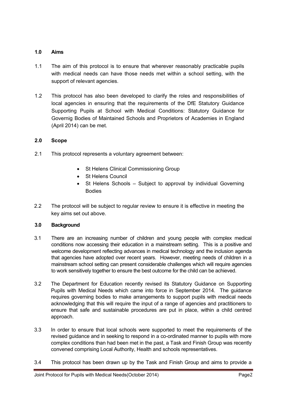# **1.0 Aims**

- 1.1 The aim of this protocol is to ensure that wherever reasonably practicable pupils with medical needs can have those needs met within a school setting, with the support of relevant agencies.
- 1.2 This protocol has also been developed to clarify the roles and responsibilities of local agencies in ensuring that the requirements of the DfE Statutory Guidance Supporting Pupils at School with Medical Conditions: Statutory Guidance for Governig Bodies of Maintained Schools and Proprietors of Academies in England (April 2014) can be met.

## **2.0 Scope**

- 2.1 This protocol represents a voluntary agreement between:
	- St Helens Clinical Commissioning Group
	- St Helens Council
	- St Helens Schools Subject to approval by individual Governing Bodies
- 2.2 The protocol will be subject to regular review to ensure it is effective in meeting the key aims set out above.

# **3.0 Background**

- 3.1 There are an increasing number of children and young people with complex medical conditions now accessing their education in a mainstream setting. This is a positive and welcome development reflecting advances in medical technology and the inclusion agenda that agencies have adopted over recent years. However, meeting needs of children in a mainstream school setting can present considerable challenges which will require agencies to work sensitively together to ensure the best outcome for the child can be achieved.
- 3.2 The Department for Education recently revised its Statutory Guidance on Supporting Pupils with Medical Needs which came into force in September 2014. The guidance requires governing bodies to make arrangements to support pupils with medical needs acknowledging that this will require the input of a range of agencies and practitioners to ensure that safe and sustainable procedures are put in place, within a child centred approach.
- 3.3 In order to ensure that local schools were supported to meet the requirements of the revised guidance and in seeking to respond in a co-ordinated manner to pupils with more complex conditions than had been met in the past, a Task and Finish Group was recently convened comprising Local Authority, Health and schools representatives.
- 3.4 This protocol has been drawn up by the Task and Finish Group and aims to provide a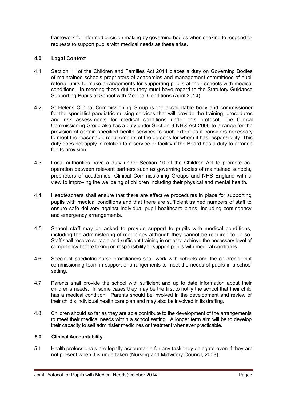framework for informed decision making by governing bodies when seeking to respond to requests to support pupils with medical needs as these arise.

## **4.0 Legal Context**

- 4.1 Section 11 of the Children and Families Act 2014 places a duty on Governing Bodies of maintained schools proprietors of academies and management committees of pupil referral units to make arrangements for supporting pupils at their schools with medical conditions. In meeting those duties they must have regard to the Statutory Guidance Supporting Pupils at School with Medical Conditions (April 2014).
- 4.2 St Helens Clinical Commissioning Group is the accountable body and commissioner for the specialist paediatric nursing services that will provide the training, procedures and risk assessments for medical conditions under this protocol. The Clinical Commissioning Group also has a duty under Section 3 NHS Act 2006 to arrange for the provision of certain specified health services to such extent as it considers necessary to meet the reasonable requirements of the persons for whom it has responsibility. This duty does not apply in relation to a service or facility if the Board has a duty to arrange for its provision.
- 4.3 Local authorities have a duty under Section 10 of the Children Act to promote cooperation between relevant partners such as governing bodies of maintained schools, proprietors of academies, Clinical Commissioning Groups and NHS England with a view to improving the wellbeing of children including their physical and mental health.
- 4.4 Headteachers shall ensure that there are effective procedures in place for supporting pupils with medical conditions and that there are sufficient trained numbers of staff to ensure safe delivery against individual pupil healthcare plans, including contingency and emergency arrangements.
- 4.5 School staff may be asked to provide support to pupils with medical conditions, including the administering of medicines although they cannot be required to do so. Staff shall receive suitable and sufficient training in order to achieve the necessary level of competency before taking on responsibility to support pupils with medical conditions.
- 4.6 Specialist paediatric nurse practitioners shall work with schools and the children's joint commissioning team in support of arrangements to meet the needs of pupils in a school setting.
- 4.7 Parents shall provide the school with sufficient and up to date information about their children's needs. In some cases they may be the first to notify the school that their child has a medical condition. Parents should be involved in the development and review of their child's individual health care plan and may also be involved in its drafting.
- 4.8 Children should so far as they are able contribute to the development of the arrangements to meet their medical needs within a school setting. A longer term aim will be to develop their capacity to self administer medicines or treatment whenever practicable.

# **5.0 Clinical Accountability**

5.1 Health professionals are legally accountable for any task they delegate even if they are not present when it is undertaken (Nursing and Midwifery Council, 2008).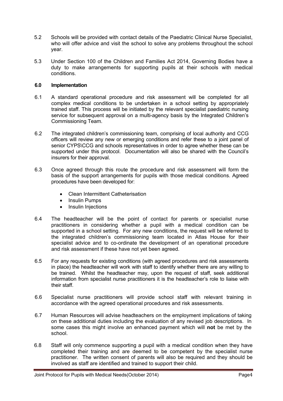- 5.2 Schools will be provided with contact details of the Paediatric Clinical Nurse Specialist, who will offer advice and visit the school to solve any problems throughout the school year.
- 5.3 Under Section 100 of the Children and Families Act 2014, Governing Bodies have a duty to make arrangements for supporting pupils at their schools with medical conditions.

### **6.0 Implementation**

- 6.1 A standard operational procedure and risk assessment will be completed for all complex medical conditions to be undertaken in a school setting by appropriately trained staff. This process will be initiated by the relevant specialist paediatric nursing service for subsequent approval on a multi-agency basis by the Integrated Children's Commissioning Team.
- 6.2 The integrated children's commissioning team, comprising of local authority and CCG officers will review any new or emerging conditions and refer these to a joint panel of senior CYPS\CCG and schools representatives in order to agree whether these can be supported under this protocol. Documentation will also be shared with the Council's insurers for their approval.
- 6.3 Once agreed through this route the procedure and risk assessment will form the basis of the support arrangements for pupils with those medical conditions. Agreed procedures have been developed for:
	- Clean Intermittent Catheterisation
	- Insulin Pumps
	- Insulin Injections
- 6.4 The headteacher will be the point of contact for parents or specialist nurse practitioners in considering whether a pupil with a medical condition can be supported in a school setting. For any new conditions, the request will be referred to the integrated children's commissioning team located in Atlas House for their specialist advice and to co-ordinate the development of an operational procedure and risk assessment if these have not yet been agreed.
- 6.5 For any requests for existing conditions (with agreed procedures and risk assessments in place) the headteacher will work with staff to identify whether there are any willing to be trained. Whilst the headteacher may, upon the request of staff, seek additional information from specialist nurse practitioners it is the headteacher's role to liaise with their staff.
- 6.6 Specialist nurse practitioners will provide school staff with relevant training in accordance with the agreed operational procedures and risk assessments.
- 6.7 Human Resources will advise headteachers on the employment implications of taking on these additional duties including the evaluation of any revised job descriptions. In some cases this might involve an enhanced payment which will **not** be met by the school.
- 6.8 Staff will only commence supporting a pupil with a medical condition when they have completed their training and are deemed to be competent by the specialist nurse practitioner. The written consent of parents will also be required and they should be involved as staff are identified and trained to support their child.